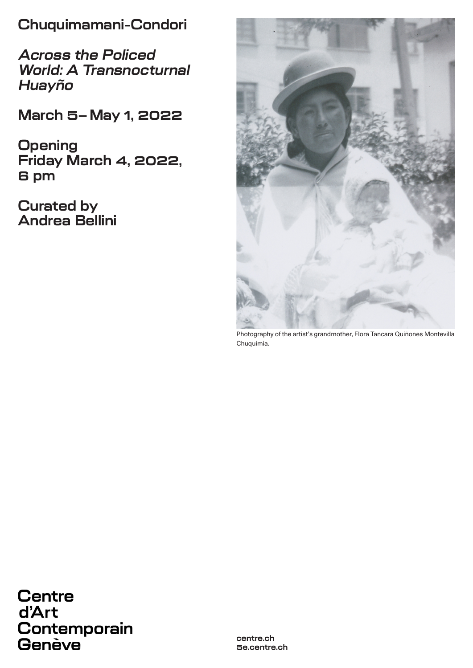**Chuquimamani-Condori**

**Across the Policed World: A Transnocturnal Huayño**

**March 5–May 1, 2022**

**Opening Friday March 4, 2022, 6 pm**

**Curated by Andrea Bellini**



Photography of the artist's grandmother, Flora Tancara Quiñones Montevilla Chuquimia.

**Centre** d'Art Contemporain Genève

**centre.ch 5e.centre.ch**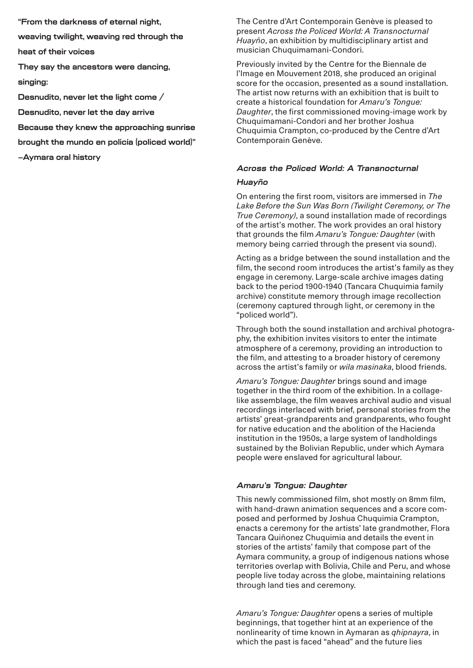**"From the darkness of eternal night,** 

**weaving twilight, weaving red through the** 

**heat of their voices**

**They say the ancestors were dancing,** 

**singing:**

**Desnudito, never let the light come /** 

**Desnudito, never let the day arrive**

**Because they knew the approaching sunrise** 

**brought the mundo en policía (policed world)"**

**–Aymara oral history**

The Centre d'Art Contemporain Genève is pleased to present *Across the Policed World: A Transnocturnal Huayño*, an exhibition by multidisciplinary artist and musician Chuquimamani-Condori.

Previously invited by the Centre for the Biennale de l'Image en Mouvement 2018, she produced an original score for the occasion, presented as a sound installation. The artist now returns with an exhibition that is built to create a historical foundation for *Amaru's Tongue: Daughter*, the first commissioned moving-image work by Chuquimamani-Condori and her brother Joshua Chuquimia Crampton, co-produced by the Centre d'Art Contemporain Genève.

### **Across the Policed World: A Transnocturnal**

#### **Huayño**

On entering the first room, visitors are immersed in *The Lake Before the Sun Was Born (Twilight Ceremony, or The True Ceremony)*, a sound installation made of recordings of the artist's mother. The work provides an oral history that grounds the film *Amaru's Tongue: Daughter* (with memory being carried through the present via sound).

Acting as a bridge between the sound installation and the film, the second room introduces the artist's family as they engage in ceremony. Large-scale archive images dating back to the period 1900-1940 (Tancara Chuquimia family archive) constitute memory through image recollection (ceremony captured through light, or ceremony in the "policed world").

Through both the sound installation and archival photography, the exhibition invites visitors to enter the intimate atmosphere of a ceremony, providing an introduction to the film, and attesting to a broader history of ceremony across the artist's family or *wila masinaka*, blood friends.

*Amaru's Tongue: Daughter* brings sound and image together in the third room of the exhibition. In a collagelike assemblage, the film weaves archival audio and visual recordings interlaced with brief, personal stories from the artists' great-grandparents and grandparents, who fought for native education and the abolition of the Hacienda institution in the 1950s, a large system of landholdings sustained by the Bolivian Republic, under which Aymara people were enslaved for agricultural labour.

### **Amaru's Tongue: Daughter**

This newly commissioned film, shot mostly on 8mm film, with hand-drawn animation sequences and a score composed and performed by Joshua Chuquimia Crampton, enacts a ceremony for the artists' late grandmother, Flora Tancara Quiñonez Chuquimia and details the event in stories of the artists' family that compose part of the Aymara community, a group of indigenous nations whose territories overlap with Bolivia, Chile and Peru, and whose people live today across the globe, maintaining relations through land ties and ceremony.

*Amaru's Tongue: Daughter* opens a series of multiple beginnings, that together hint at an experience of the nonlinearity of time known in Aymaran as *qhipnayra*, in which the past is faced "ahead" and the future lies